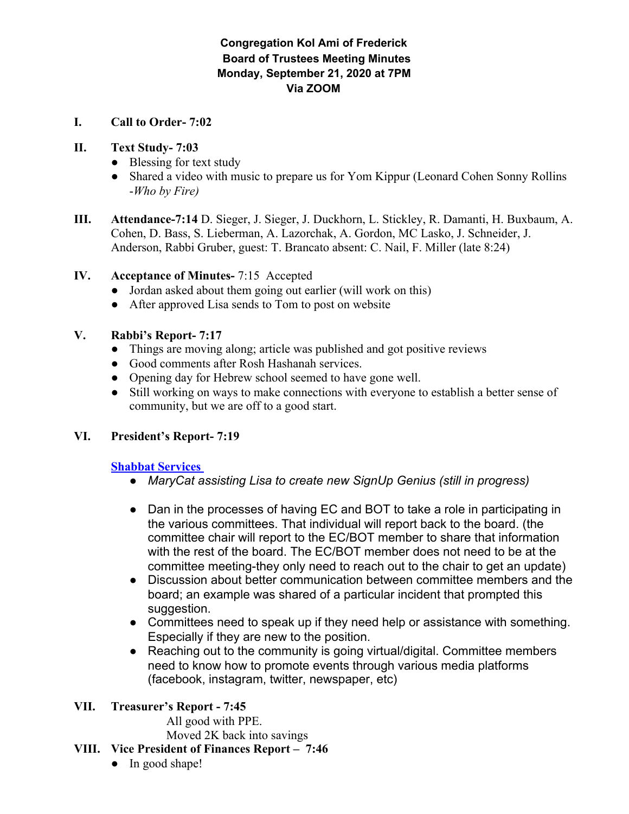# **Congregation Kol Ami of Frederick Board of Trustees Meeting Minutes Monday, September 21, 2020 at 7PM Via ZOOM**

**I. Call to Order- 7:02**

#### **II. Text Study- 7:03**

- Blessing for text study
- Shared a video with music to prepare us for Yom Kippur (Leonard Cohen Sonny Rollins -*Who by Fire)*
- **III. Attendance-7:14** D. Sieger, J. Sieger, J. Duckhorn, L. Stickley, R. Damanti, H. Buxbaum, A. Cohen, D. Bass, S. Lieberman, A. Lazorchak, A. Gordon, MC Lasko, J. Schneider, J. Anderson, Rabbi Gruber, guest: T. Brancato absent: C. Nail, F. Miller (late 8:24)

## **IV. Acceptance of Minutes-** 7:15 Accepted

- Jordan asked about them going out earlier (will work on this)
- After approved Lisa sends to Tom to post on website

## **V. Rabbi's Report- 7:17**

- Things are moving along; article was published and got positive reviews
- Good comments after Rosh Hashanah services.
- Opening day for Hebrew school seemed to have gone well.
- Still working on ways to make connections with everyone to establish a better sense of community, but we are off to a good start.

# **VI. President's Report- 7:19**

#### **Shabbat Services**

- *● MaryCat assisting Lisa to create new SignUp Genius (still in progress)*
- Dan in the processes of having EC and BOT to take a role in participating in the various committees. That individual will report back to the board. (the committee chair will report to the EC/BOT member to share that information with the rest of the board. The EC/BOT member does not need to be at the committee meeting-they only need to reach out to the chair to get an update)
- Discussion about better communication between committee members and the board; an example was shared of a particular incident that prompted this suggestion.
- Committees need to speak up if they need help or assistance with something. Especially if they are new to the position.
- Reaching out to the community is going virtual/digital. Committee members need to know how to promote events through various media platforms (facebook, instagram, twitter, newspaper, etc)

# **VII. Treasurer's Report - 7:45**

All good with PPE. Moved 2K back into savings

#### **VIII. Vice President of Finances Report – 7:46**

• In good shape!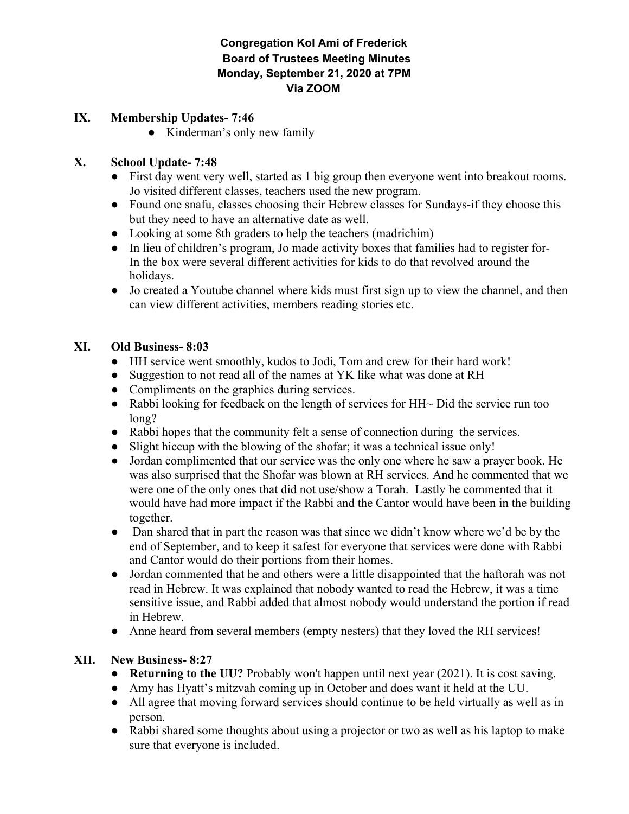## **Congregation Kol Ami of Frederick Board of Trustees Meeting Minutes Monday, September 21, 2020 at 7PM Via ZOOM**

#### **IX. Membership Updates- 7:46**

• Kinderman's only new family

# **X. School Update- 7:48**

- First day went very well, started as 1 big group then everyone went into breakout rooms. Jo visited different classes, teachers used the new program.
- Found one snafu, classes choosing their Hebrew classes for Sundays-if they choose this but they need to have an alternative date as well.
- Looking at some 8th graders to help the teachers (madrichim)
- In lieu of children's program, Jo made activity boxes that families had to register for-In the box were several different activities for kids to do that revolved around the holidays.
- Jo created a Youtube channel where kids must first sign up to view the channel, and then can view different activities, members reading stories etc.

## **XI. Old Business- 8:03**

- HH service went smoothly, kudos to Jodi, Tom and crew for their hard work!
- Suggestion to not read all of the names at YK like what was done at RH
- Compliments on the graphics during services.
- Rabbi looking for feedback on the length of services for  $HH~\sim$  Did the service run too long?
- Rabbi hopes that the community felt a sense of connection during the services.
- Slight hiccup with the blowing of the shofar; it was a technical issue only!
- Jordan complimented that our service was the only one where he saw a prayer book. He was also surprised that the Shofar was blown at RH services. And he commented that we were one of the only ones that did not use/show a Torah. Lastly he commented that it would have had more impact if the Rabbi and the Cantor would have been in the building together.
- Dan shared that in part the reason was that since we didn't know where we'd be by the end of September, and to keep it safest for everyone that services were done with Rabbi and Cantor would do their portions from their homes.
- Jordan commented that he and others were a little disappointed that the haftorah was not read in Hebrew. It was explained that nobody wanted to read the Hebrew, it was a time sensitive issue, and Rabbi added that almost nobody would understand the portion if read in Hebrew.
- Anne heard from several members (empty nesters) that they loved the RH services!

# **XII. New Business- 8:27**

- **● Returning to the UU?** Probably won't happen until next year (2021). It is cost saving.
- Amy has Hyatt's mitzvah coming up in October and does want it held at the UU.
- All agree that moving forward services should continue to be held virtually as well as in person.
- Rabbi shared some thoughts about using a projector or two as well as his laptop to make sure that everyone is included.